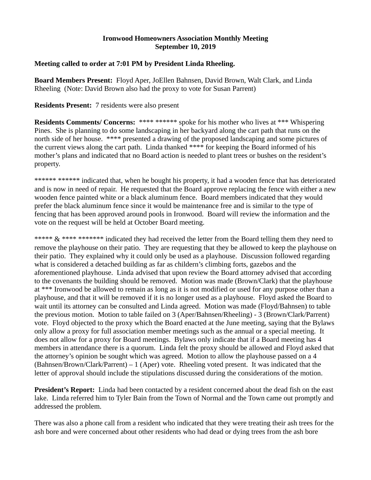## **Ironwood Homeowners Association Monthly Meeting September 10, 2019**

# **Meeting called to order at 7:01 PM by President Linda Rheeling.**

**Board Members Present:** Floyd Aper, JoEllen Bahnsen, David Brown, Walt Clark, and Linda Rheeling (Note: David Brown also had the proxy to vote for Susan Parrent)

# **Residents Present:** 7 residents were also present

**Residents Comments/ Concerns:** \*\*\*\* \*\*\*\*\*\* spoke for his mother who lives at \*\*\* Whispering Pines. She is planning to do some landscaping in her backyard along the cart path that runs on the north side of her house. \*\*\*\* presented a drawing of the proposed landscaping and some pictures of the current views along the cart path. Linda thanked \*\*\*\* for keeping the Board informed of his mother's plans and indicated that no Board action is needed to plant trees or bushes on the resident's property.

\*\*\*\*\*\* \*\*\*\*\*\* indicated that, when he bought his property, it had a wooden fence that has deteriorated and is now in need of repair. He requested that the Board approve replacing the fence with either a new wooden fence painted white or a black aluminum fence. Board members indicated that they would prefer the black aluminum fence since it would be maintenance free and is similar to the type of fencing that has been approved around pools in Ironwood. Board will review the information and the vote on the request will be held at October Board meeting.

\*\*\*\*\* & \*\*\*\* \*\*\*\*\*\*\* indicated they had received the letter from the Board telling them they need to remove the playhouse on their patio. They are requesting that they be allowed to keep the playhouse on their patio. They explained why it could only be used as a playhouse. Discussion followed regarding what is considered a detached building as far as childern's climbing forts, gazebos and the aforementioned playhouse. Linda advised that upon review the Board attorney advised that according to the covenants the building should be removed. Motion was made (Brown/Clark) that the playhouse at \*\*\* Ironwood be allowed to remain as long as it is not modified or used for any purpose other than a playhouse, and that it will be removed if it is no longer used as a playhouse. Floyd asked the Board to wait until its attorney can be consulted and Linda agreed. Motion was made (Floyd/Bahnsen) to table the previous motion. Motion to table failed on 3 (Aper/Bahnsen/Rheeling) - 3 (Brown/Clark/Parrent) vote. Floyd objected to the proxy which the Board enacted at the June meeting, saying that the Bylaws only allow a proxy for full association member meetings such as the annual or a special meeting. It does not allow for a proxy for Board meetings. Bylaws only indicate that if a Board meeting has 4 members in attendance there is a quorum. Linda felt the proxy should be allowed and Floyd asked that the attorney's opinion be sought which was agreed. Motion to allow the playhouse passed on a 4 (Bahnsen/Brown/Clark/Parrent) – 1 (Aper) vote. Rheeling voted present. It was indicated that the letter of approval should include the stipulations discussed during the considerations of the motion.

**President's Report:** Linda had been contacted by a resident concerned about the dead fish on the east lake. Linda referred him to Tyler Bain from the Town of Normal and the Town came out promptly and addressed the problem.

There was also a phone call from a resident who indicated that they were treating their ash trees for the ash bore and were concerned about other residents who had dead or dying trees from the ash bore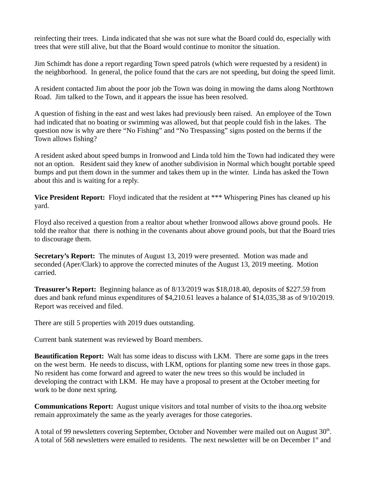reinfecting their trees. Linda indicated that she was not sure what the Board could do, especially with trees that were still alive, but that the Board would continue to monitor the situation.

Jim Schimdt has done a report regarding Town speed patrols (which were requested by a resident) in the neighborhood. In general, the police found that the cars are not speeding, but doing the speed limit.

A resident contacted Jim about the poor job the Town was doing in mowing the dams along Northtown Road. Jim talked to the Town, and it appears the issue has been resolved.

A question of fishing in the east and west lakes had previously been raised. An employee of the Town had indicated that no boating or swimming was allowed, but that people could fish in the lakes. The question now is why are there "No Fishing" and "No Trespassing" signs posted on the berms if the Town allows fishing?

A resident asked about speed bumps in Ironwood and Linda told him the Town had indicated they were not an option. Resident said they knew of another subdivision in Normal which bought portable speed bumps and put them down in the summer and takes them up in the winter. Linda has asked the Town about this and is waiting for a reply.

**Vice President Report:** Floyd indicated that the resident at \*\*\* Whispering Pines has cleaned up his yard.

Floyd also received a question from a realtor about whether Ironwood allows above ground pools. He told the realtor that there is nothing in the covenants about above ground pools, but that the Board tries to discourage them.

**Secretary's Report:** The minutes of August 13, 2019 were presented. Motion was made and seconded (Aper/Clark) to approve the corrected minutes of the August 13, 2019 meeting. Motion carried.

**Treasurer's Report:** Beginning balance as of 8/13/2019 was \$18,018.40, deposits of \$227.59 from dues and bank refund minus expenditures of \$4,210.61 leaves a balance of \$14,035,38 as of 9/10/2019. Report was received and filed.

There are still 5 properties with 2019 dues outstanding.

Current bank statement was reviewed by Board members.

**Beautification Report:** Walt has some ideas to discuss with LKM. There are some gaps in the trees on the west berm. He needs to discuss, with LKM, options for planting some new trees in those gaps. No resident has come forward and agreed to water the new trees so this would be included in developing the contract with LKM. He may have a proposal to present at the October meeting for work to be done next spring.

**Communications Report:** August unique visitors and total number of visits to the ihoa.org website remain approximately the same as the yearly averages for those categories.

A total of 99 newsletters covering September, October and November were mailed out on August  $30<sup>th</sup>$ . A total of 568 newsletters were emailed to residents. The next newsletter will be on December 1<sup>st</sup> and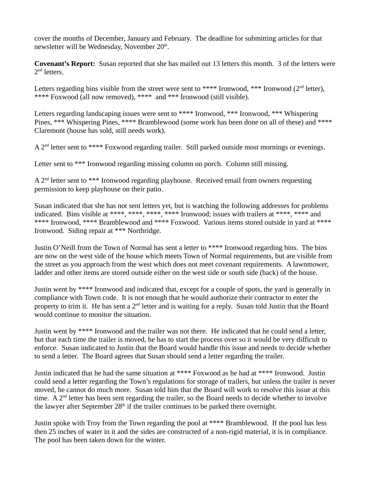cover the months of December, January and February. The deadline for submitting articles for that newsletter will be Wednesday, November 20<sup>th</sup>.

**Covenant's Report:** Susan reported that she has mailed out 13 letters this month. 3 of the letters were  $2<sup>nd</sup>$  letters.

Letters regarding bins visible from the street were sent to \*\*\*\* Ironwood, \*\*\* Ironwood ( $2<sup>nd</sup>$  letter), \*\*\*\* Foxwood (all now removed), \*\*\*\* and \*\*\* Ironwood (still visible).

Letters regarding landscaping issues were sent to \*\*\*\* Ironwood, \*\*\* Ironwood, \*\*\* Whispering Pines, \*\*\* Whispering Pines, \*\*\*\* Bramblewood (some work has been done on all of these) and \*\*\*\* Claremont (house has sold, still needs work).

A 2<sup>nd</sup> letter sent to \*\*\*\* Foxwood regarding trailer. Still parked outside most mornings or evenings.

Letter sent to \*\*\* Ironwood regarding missing column on porch. Column still missing.

 $A$  2<sup>nd</sup> letter sent to \*\*\* Ironwood regarding playhouse. Received email from owners requesting permission to keep playhouse on their patio.

Susan indicated that she has not sent letters yet, but is watching the following addresses for problems indicated. Bins visible at \*\*\*\*, \*\*\*\*, \*\*\*\*, \*\*\*\* Ironwood; issues with trailers at \*\*\*\*, \*\*\*\* and \*\*\*\* Ironwood, \*\*\*\* Bramblewood and \*\*\*\* Foxwood. Various items stored outside in yard at \*\*\*\* Ironwood. Siding repair at \*\*\* Northridge.

Justin O'Neill from the Town of Normal has sent a letter to \*\*\*\* Ironwood regarding bins. The bins are now on the west side of the house which meets Town of Normal requirements, but are visible from the street as you approach from the west which does not meet covenant requirements. A lawnmower, ladder and other items are stored outside either on the west side or south side (back) of the house.

Justin went by \*\*\*\* Ironwood and indicated that, except for a couple of spots, the yard is generally in compliance with Town code. It is not enough that he would authorize their contractor to enter the property to trim it. He has sent a 2<sup>nd</sup> letter and is waiting for a reply. Susan told Justin that the Board would continue to monitor the situation.

Justin went by \*\*\*\* Ironwood and the trailer was not there. He indicated that he could send a letter, but that each time the trailer is moved, he has to start the process over so it would be very difficult to enforce. Susan indicated to Justin that the Board would handle this issue and needs to decide whether to send a letter. The Board agrees that Susan should send a letter regarding the trailer.

Justin indicated that he had the same situation at \*\*\*\* Foxwood as he had at \*\*\*\* Ironwood. Justin could send a letter regarding the Town's regulations for storage of trailers, but unless the trailer is never moved, he cannot do much more. Susan told him that the Board will work to resolve this issue at this time. A 2<sup>nd</sup> letter has been sent regarding the trailer, so the Board needs to decide whether to involve the lawyer after September  $28<sup>th</sup>$  if the trailer continues to be parked there overnight.

Justin spoke with Troy from the Town regarding the pool at \*\*\*\* Bramblewood. If the pool has less then 25 inches of water in it and the sides are constructed of a non-rigid material, it is in compliance. The pool has been taken down for the winter.